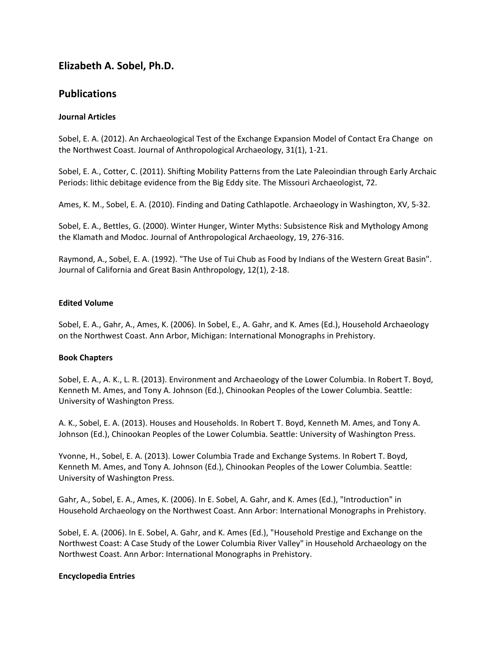# **Elizabeth A. Sobel, Ph.D.**

# **Publications**

### **Journal Articles**

Sobel, E. A. (2012). An Archaeological Test of the Exchange Expansion Model of Contact Era Change on the Northwest Coast. Journal of Anthropological Archaeology, 31(1), 1-21.

Sobel, E. A., Cotter, C. (2011). Shifting Mobility Patterns from the Late Paleoindian through Early Archaic Periods: lithic debitage evidence from the Big Eddy site. The Missouri Archaeologist, 72.

Ames, K. M., Sobel, E. A. (2010). Finding and Dating Cathlapotle. Archaeology in Washington, XV, 5-32.

Sobel, E. A., Bettles, G. (2000). Winter Hunger, Winter Myths: Subsistence Risk and Mythology Among the Klamath and Modoc. Journal of Anthropological Archaeology, 19, 276-316.

Raymond, A., Sobel, E. A. (1992). "The Use of Tui Chub as Food by Indians of the Western Great Basin". Journal of California and Great Basin Anthropology, 12(1), 2-18.

### **Edited Volume**

Sobel, E. A., Gahr, A., Ames, K. (2006). In Sobel, E., A. Gahr, and K. Ames (Ed.), Household Archaeology on the Northwest Coast. Ann Arbor, Michigan: International Monographs in Prehistory.

### **Book Chapters**

Sobel, E. A., A. K., L. R. (2013). Environment and Archaeology of the Lower Columbia. In Robert T. Boyd, Kenneth M. Ames, and Tony A. Johnson (Ed.), Chinookan Peoples of the Lower Columbia. Seattle: University of Washington Press.

A. K., Sobel, E. A. (2013). Houses and Households. In Robert T. Boyd, Kenneth M. Ames, and Tony A. Johnson (Ed.), Chinookan Peoples of the Lower Columbia. Seattle: University of Washington Press.

Yvonne, H., Sobel, E. A. (2013). Lower Columbia Trade and Exchange Systems. In Robert T. Boyd, Kenneth M. Ames, and Tony A. Johnson (Ed.), Chinookan Peoples of the Lower Columbia. Seattle: University of Washington Press.

Gahr, A., Sobel, E. A., Ames, K. (2006). In E. Sobel, A. Gahr, and K. Ames (Ed.), "Introduction" in Household Archaeology on the Northwest Coast. Ann Arbor: International Monographs in Prehistory.

Sobel, E. A. (2006). In E. Sobel, A. Gahr, and K. Ames (Ed.), "Household Prestige and Exchange on the Northwest Coast: A Case Study of the Lower Columbia River Valley" in Household Archaeology on the Northwest Coast. Ann Arbor: International Monographs in Prehistory.

### **Encyclopedia Entries**